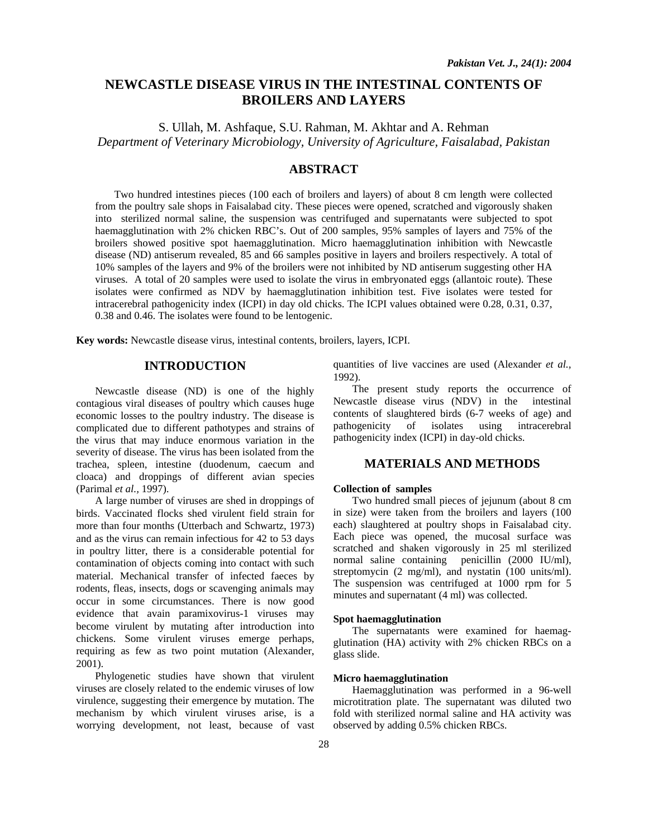# **NEWCASTLE DISEASE VIRUS IN THE INTESTINAL CONTENTS OF BROILERS AND LAYERS**

S. Ullah, M. Ashfaque, S.U. Rahman, M. Akhtar and A. Rehman *Department of Veterinary Microbiology, University of Agriculture, Faisalabad, Pakistan* 

## **ABSTRACT**

Two hundred intestines pieces (100 each of broilers and layers) of about 8 cm length were collected from the poultry sale shops in Faisalabad city. These pieces were opened, scratched and vigorously shaken into sterilized normal saline, the suspension was centrifuged and supernatants were subjected to spot haemagglutination with 2% chicken RBC's. Out of 200 samples, 95% samples of layers and 75% of the broilers showed positive spot haemagglutination. Micro haemagglutination inhibition with Newcastle disease (ND) antiserum revealed, 85 and 66 samples positive in layers and broilers respectively. A total of 10% samples of the layers and 9% of the broilers were not inhibited by ND antiserum suggesting other HA viruses. A total of 20 samples were used to isolate the virus in embryonated eggs (allantoic route). These isolates were confirmed as NDV by haemagglutination inhibition test. Five isolates were tested for intracerebral pathogenicity index (ICPI) in day old chicks. The ICPI values obtained were 0.28, 0.31, 0.37, 0.38 and 0.46. The isolates were found to be lentogenic.

**Key words:** Newcastle disease virus, intestinal contents, broilers, layers, ICPI.

## **INTRODUCTION**

Newcastle disease (ND) is one of the highly contagious viral diseases of poultry which causes huge economic losses to the poultry industry. The disease is complicated due to different pathotypes and strains of the virus that may induce enormous variation in the severity of disease. The virus has been isolated from the trachea, spleen, intestine (duodenum, caecum and cloaca) and droppings of different avian species (Parimal *et al.,* 1997).

A large number of viruses are shed in droppings of birds. Vaccinated flocks shed virulent field strain for more than four months (Utterbach and Schwartz, 1973) and as the virus can remain infectious for 42 to 53 days in poultry litter, there is a considerable potential for contamination of objects coming into contact with such material. Mechanical transfer of infected faeces by rodents, fleas, insects, dogs or scavenging animals may occur in some circumstances. There is now good evidence that avain paramixovirus-1 viruses may become virulent by mutating after introduction into chickens. Some virulent viruses emerge perhaps, requiring as few as two point mutation (Alexander, 2001).

Phylogenetic studies have shown that virulent viruses are closely related to the endemic viruses of low virulence, suggesting their emergence by mutation. The mechanism by which virulent viruses arise, is a worrying development, not least, because of vast

quantities of live vaccines are used (Alexander *et al.,* 1992).

The present study reports the occurrence of Newcastle disease virus (NDV) in the intestinal contents of slaughtered birds (6-7 weeks of age) and pathogenicity of isolates using intracerebral pathogenicity index (ICPI) in day-old chicks.

#### **MATERIALS AND METHODS**

#### **Collection of samples**

Two hundred small pieces of jejunum (about 8 cm in size) were taken from the broilers and layers (100 each) slaughtered at poultry shops in Faisalabad city. Each piece was opened, the mucosal surface was scratched and shaken vigorously in 25 ml sterilized normal saline containing penicillin (2000 IU/ml), streptomycin (2 mg/ml), and nystatin (100 units/ml). The suspension was centrifuged at 1000 rpm for 5 minutes and supernatant (4 ml) was collected.

#### **Spot haemagglutination**

The supernatants were examined for haemagglutination (HA) activity with 2% chicken RBCs on a glass slide.

### **Micro haemagglutination**

Haemagglutination was performed in a 96-well microtitration plate. The supernatant was diluted two fold with sterilized normal saline and HA activity was observed by adding 0.5% chicken RBCs.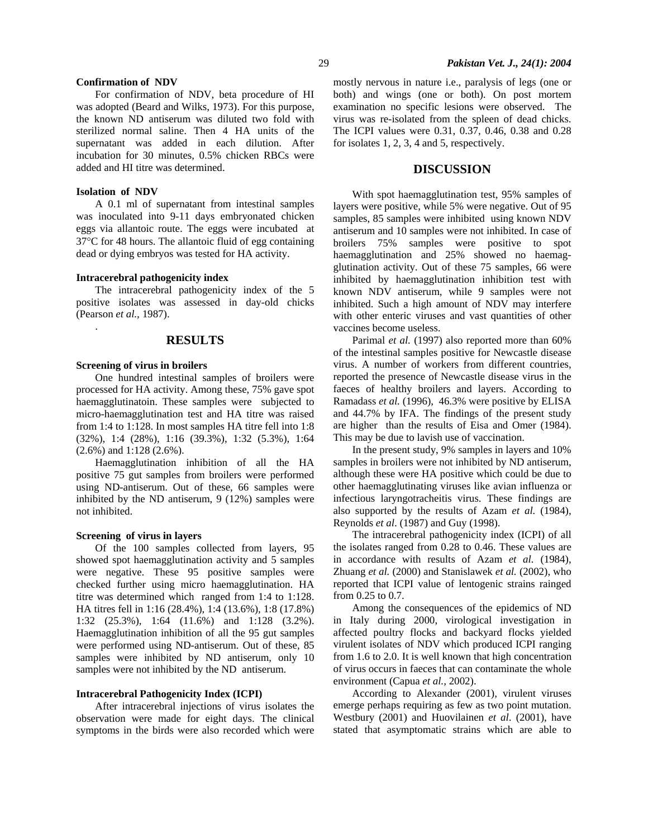### **Confirmation of NDV**

For confirmation of NDV, beta procedure of HI was adopted (Beard and Wilks, 1973). For this purpose, the known ND antiserum was diluted two fold with sterilized normal saline. Then 4 HA units of the supernatant was added in each dilution. After incubation for 30 minutes, 0.5% chicken RBCs were added and HI titre was determined.

### **Isolation of NDV**

.

A 0.1 ml of supernatant from intestinal samples was inoculated into 9-11 days embryonated chicken eggs via allantoic route. The eggs were incubated at 37°C for 48 hours. The allantoic fluid of egg containing dead or dying embryos was tested for HA activity.

### **Intracerebral pathogenicity index**

The intracerebral pathogenicity index of the 5 positive isolates was assessed in day-old chicks (Pearson *et al.,* 1987).

## **RESULTS**

#### **Screening of virus in broilers**

One hundred intestinal samples of broilers were processed for HA activity. Among these, 75% gave spot haemagglutinatoin. These samples were subjected to micro-haemagglutination test and HA titre was raised from 1:4 to 1:128. In most samples HA titre fell into 1:8 (32%), 1:4 (28%), 1:16 (39.3%), 1:32 (5.3%), 1:64 (2.6%) and 1:128 (2.6%).

Haemagglutination inhibition of all the HA positive 75 gut samples from broilers were performed using ND-antiserum. Out of these, 66 samples were inhibited by the ND antiserum, 9 (12%) samples were not inhibited.

#### **Screening of virus in layers**

Of the 100 samples collected from layers, 95 showed spot haemagglutination activity and 5 samples were negative. These 95 positive samples were checked further using micro haemagglutination. HA titre was determined which ranged from 1:4 to 1:128. HA titres fell in 1:16 (28.4%), 1:4 (13.6%), 1:8 (17.8%) 1:32 (25.3%), 1:64 (11.6%) and 1:128 (3.2%). Haemagglutination inhibition of all the 95 gut samples were performed using ND-antiserum. Out of these, 85 samples were inhibited by ND antiserum, only 10 samples were not inhibited by the ND antiserum.

#### **Intracerebral Pathogenicity Index (ICPI)**

After intracerebral injections of virus isolates the observation were made for eight days. The clinical symptoms in the birds were also recorded which were mostly nervous in nature i.e., paralysis of legs (one or both) and wings (one or both). On post mortem examination no specific lesions were observed. The virus was re-isolated from the spleen of dead chicks. The ICPI values were 0.31, 0.37, 0.46, 0.38 and 0.28 for isolates 1, 2, 3, 4 and 5, respectively.

## **DISCUSSION**

With spot haemagglutination test, 95% samples of layers were positive, while 5% were negative. Out of 95 samples, 85 samples were inhibited using known NDV antiserum and 10 samples were not inhibited. In case of broilers 75% samples were positive to spot haemagglutination and 25% showed no haemagglutination activity. Out of these 75 samples, 66 were inhibited by haemagglutination inhibition test with known NDV antiserum, while 9 samples were not inhibited. Such a high amount of NDV may interfere with other enteric viruses and vast quantities of other vaccines become useless.

Parimal *et al.* (1997) also reported more than 60% of the intestinal samples positive for Newcastle disease virus. A number of workers from different countries, reported the presence of Newcastle disease virus in the faeces of healthy broilers and layers. According to Ramadass *et al.* (1996), 46.3% were positive by ELISA and 44.7% by IFA. The findings of the present study are higher than the results of Eisa and Omer (1984). This may be due to lavish use of vaccination.

In the present study, 9% samples in layers and 10% samples in broilers were not inhibited by ND antiserum, although these were HA positive which could be due to other haemagglutinating viruses like avian influenza or infectious laryngotracheitis virus. These findings are also supported by the results of Azam *et al.* (1984), Reynolds *et al*. (1987) and Guy (1998).

The intracerebral pathogenicity index (ICPI) of all the isolates ranged from 0.28 to 0.46. These values are in accordance with results of Azam *et al.* (1984), Zhuang *et al.* (2000) and Stanislawek *et al.* (2002), who reported that ICPI value of lentogenic strains rainged from 0.25 to 0.7.

Among the consequences of the epidemics of ND in Italy during 2000, virological investigation in affected poultry flocks and backyard flocks yielded virulent isolates of NDV which produced ICPI ranging from 1.6 to 2.0. It is well known that high concentration of virus occurs in faeces that can contaminate the whole environment (Capua *et al.,* 2002).

According to Alexander (2001), virulent viruses emerge perhaps requiring as few as two point mutation. Westbury (2001) and Huovilainen *et al*. (2001), have stated that asymptomatic strains which are able to